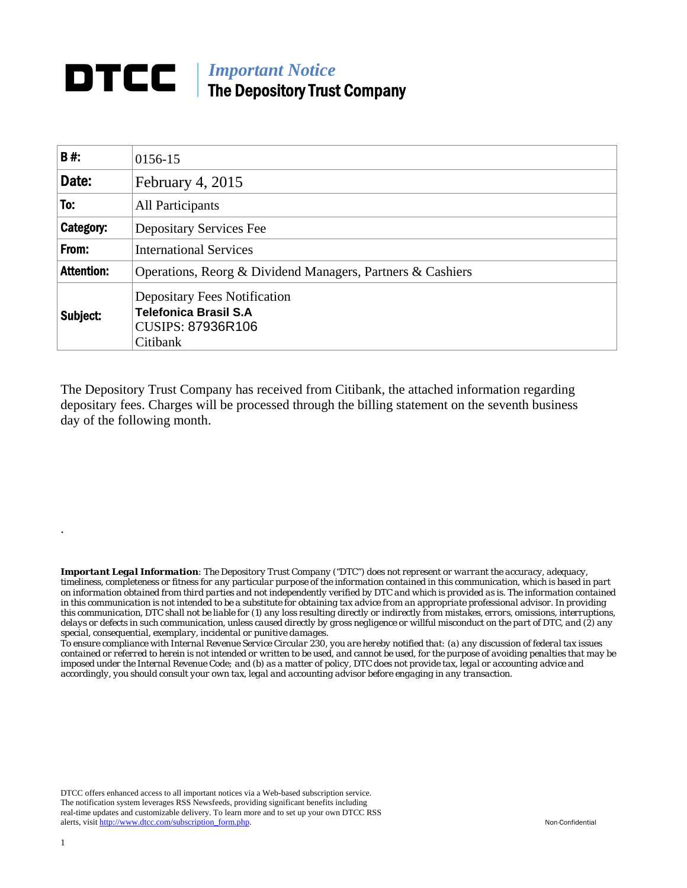## *Important Notice*  The Depository Trust Company

| <b>B#:</b>        | 0156-15                                                                                                     |  |  |  |
|-------------------|-------------------------------------------------------------------------------------------------------------|--|--|--|
| Date:             | February 4, 2015                                                                                            |  |  |  |
| To:               | <b>All Participants</b>                                                                                     |  |  |  |
| Category:         | <b>Depositary Services Fee</b>                                                                              |  |  |  |
| From:             | <b>International Services</b>                                                                               |  |  |  |
| <b>Attention:</b> | Operations, Reorg & Dividend Managers, Partners & Cashiers                                                  |  |  |  |
| Subject:          | <b>Depositary Fees Notification</b><br><b>Telefonica Brasil S.A</b><br><b>CUSIPS: 87936R106</b><br>Citibank |  |  |  |

The Depository Trust Company has received from Citibank, the attached information regarding depositary fees. Charges will be processed through the billing statement on the seventh business day of the following month.

*Important Legal Information: The Depository Trust Company ("DTC") does not represent or warrant the accuracy, adequacy, timeliness, completeness or fitness for any particular purpose of the information contained in this communication, which is based in part on information obtained from third parties and not independently verified by DTC and which is provided as is. The information contained in this communication is not intended to be a substitute for obtaining tax advice from an appropriate professional advisor. In providing this communication, DTC shall not be liable for (1) any loss resulting directly or indirectly from mistakes, errors, omissions, interruptions, delays or defects in such communication, unless caused directly by gross negligence or willful misconduct on the part of DTC, and (2) any special, consequential, exemplary, incidental or punitive damages.* 

*To ensure compliance with Internal Revenue Service Circular 230, you are hereby notified that: (a) any discussion of federal tax issues contained or referred to herein is not intended or written to be used, and cannot be used, for the purpose of avoiding penalties that may be imposed under the Internal Revenue Code; and (b) as a matter of policy, DTC does not provide tax, legal or accounting advice and accordingly, you should consult your own tax, legal and accounting advisor before engaging in any transaction.*

DTCC offers enhanced access to all important notices via a Web-based subscription service. The notification system leverages RSS Newsfeeds, providing significant benefits including real-time updates and customizable delivery. To learn more and to set up your own DTCC RSS alerts, visit http://www.dtcc.com/subscription\_form.php. Non-Confidential

.